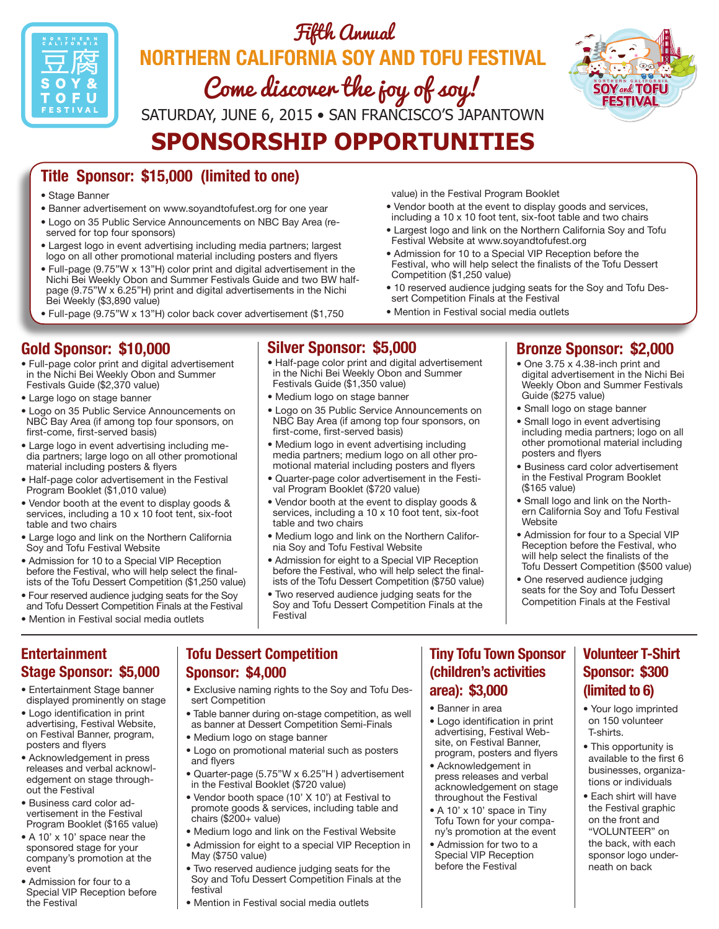

# Fifth Annual **Northern California Soy and Tofu Festival** Come discover the joy of soy! Saturday, June 6, 2015 • San Francisco's Japantown

**Sponsorship Opportunities**



## **Title Sponsor: \$15,000 (limited to one)**

- Stage Banner
- Banner advertisement on www.soyandtofufest.org for one year
- Logo on 35 Public Service Announcements on NBC Bay Area (reserved for top four sponsors)
- Largest logo in event advertising including media partners; largest logo on all other promotional material including posters and flyers
- Full-page (9.75"W x 13"H) color print and digital advertisement in the Nichi Bei Weekly Obon and Summer Festivals Guide and two BW halfpage (9.75"W x 6.25"H) print and digital advertisements in the Nichi Bei Weekly (\$3,890 value)
- Full-page (9.75"W x 13"H) color back cover advertisement (\$1,750

#### **Gold Sponsor: \$10,000**

- Full-page color print and digital advertisement in the Nichi Bei Weekly Obon and Summer Festivals Guide (\$2,370 value)
- Large logo on stage banner
- Logo on 35 Public Service Announcements on NBC Bay Area (if among top four sponsors, on first-come, first-served basis)
- Large logo in event advertising including media partners; large logo on all other promotional material including posters & flyers
- Half-page color advertisement in the Festival Program Booklet (\$1,010 value)
- Vendor booth at the event to display goods & services, including a 10 x 10 foot tent, six-foot table and two chairs
- Large logo and link on the Northern California Soy and Tofu Festival Website
- Admission for 10 to a Special VIP Reception before the Festival, who will help select the finalists of the Tofu Dessert Competition (\$1,250 value)
- Four reserved audience judging seats for the Soy and Tofu Dessert Competition Finals at the Festival
- Mention in Festival social media outlets

#### **Entertainment Stage Sponsor: \$5,000**

- Entertainment Stage banner displayed prominently on stage
- Logo identification in print advertising, Festival Website, on Festival Banner, program, posters and flyers
- Acknowledgement in press releases and verbal acknowledgement on stage throughout the Festival
- Business card color advertisement in the Festival Program Booklet (\$165 value)
- A 10' x 10' space near the sponsored stage for your company's promotion at the event
- Admission for four to a Special VIP Reception before the Festival

#### **Silver Sponsor: \$5,000**

- Half-page color print and digital advertisement in the Nichi Bei Weekly Obon and Summer Festivals Guide (\$1,350 value)
- Medium logo on stage banner
- Logo on 35 Public Service Announcements on NBC Bay Area (if among top four sponsors, on first-come, first-served basis)
- Medium logo in event advertising including media partners; medium logo on all other promotional material including posters and flyers
- Quarter-page color advertisement in the Festival Program Booklet (\$720 value)
- Vendor booth at the event to display goods & services, including a 10 x 10 foot tent, six-foot table and two chairs
- Medium logo and link on the Northern California Soy and Tofu Festival Website
- Admission for eight to a Special VIP Reception before the Festival, who will help select the finalists of the Tofu Dessert Competition (\$750 value)
- Two reserved audience judging seats for the Soy and Tofu Dessert Competition Finals at the Festival

#### **Bronze Sponsor: \$2,000**

- One 3.75 x 4.38-inch print and digital advertisement in the Nichi Bei Weekly Obon and Summer Festivals Guide (\$275 value)
- Small logo on stage banner
- Small logo in event advertising including media partners; logo on all other promotional material including posters and flyers
- Business card color advertisement in the Festival Program Booklet (\$165 value)
- Small logo and link on the Northern California Soy and Tofu Festival Website
- Admission for four to a Special VIP Reception before the Festival, who will help select the finalists of the Tofu Dessert Competition (\$500 value)
- One reserved audience judging seats for the Soy and Tofu Dessert Competition Finals at the Festival

#### **Tofu Dessert Competition Sponsor: \$4,000**

- Exclusive naming rights to the Soy and Tofu Dessert Competition
- Table banner during on-stage competition, as well as banner at Dessert Competition Semi-Finals
- Medium logo on stage banner
- Logo on promotional material such as posters and flyers
- Quarter-page (5.75"W x 6.25"H ) advertisement in the Festival Booklet (\$720 value)
- Vendor booth space (10' X 10') at Festival to promote goods & services, including table and chairs (\$200+ value)
- Medium logo and link on the Festival Website
- Admission for eight to a special VIP Reception in May (\$750 value)
- Two reserved audience judging seats for the Soy and Tofu Dessert Competition Finals at the festival
- Mention in Festival social media outlets

### **Tiny Tofu Town Sponsor (children's activities area): \$3,000**

• Banner in area

value) in the Festival Program Booklet

sert Competition Finals at the Festival • Mention in Festival social media outlets

Competition (\$1,250 value)

Festival Website at www.soyandtofufest.org

• Vendor booth at the event to display goods and services, including a 10 x 10 foot tent, six-foot table and two chairs • Largest logo and link on the Northern California Soy and Tofu

• Admission for 10 to a Special VIP Reception before the Festival, who will help select the finalists of the Tofu Dessert

• 10 reserved audience judging seats for the Soy and Tofu Des-

- Logo identification in print advertising, Festival Website, on Festival Banner, program, posters and flyers
- Acknowledgement in press releases and verbal acknowledgement on stage throughout the Festival
- A 10' x 10' space in Tiny Tofu Town for your company's promotion at the event
- Admission for two to a Special VIP Reception before the Festival

### **Volunteer T-Shirt Sponsor: \$300 (limited to 6)**

- Your logo imprinted on 150 volunteer T-shirts.
- This opportunity is available to the first 6 businesses, organizations or individuals
- Each shirt will have the Festival graphic on the front and "VOLUNTEER" on the back, with each sponsor logo underneath on back